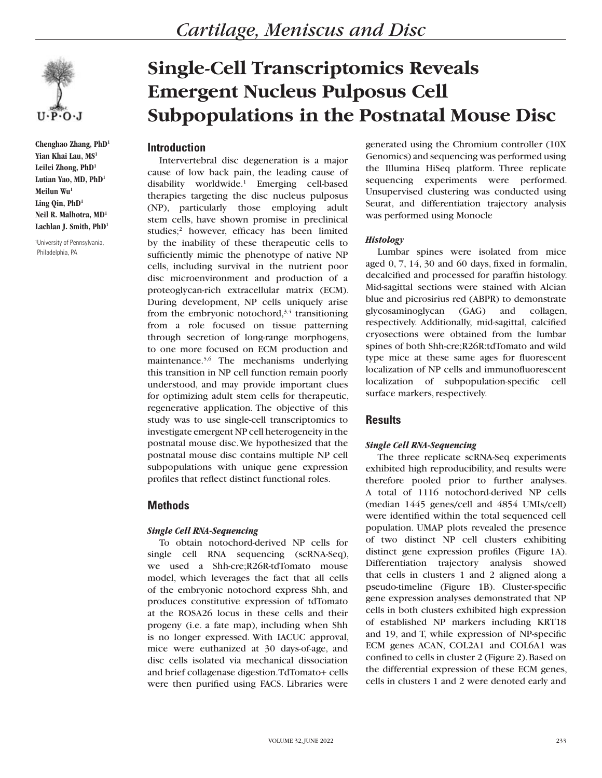

**Chenghao Zhang, PhD1 Yian Khai Lau, MS1 Leilei Zhong, PhD1 Lutian Yao, MD, PhD1 Meilun Wu1 Ling Qin, PhD1 Neil R. Malhotra, MD1 Lachlan J. Smith, PhD1**

1 University of Pennsylvania, Philadelphia, PA

# **Single-Cell Transcriptomics Reveals Emergent Nucleus Pulposus Cell Subpopulations in the Postnatal Mouse Disc**

## **Introduction**

Intervertebral disc degeneration is a major cause of low back pain, the leading cause of disability worldwide.1 Emerging cell-based therapies targeting the disc nucleus pulposus (NP), particularly those employing adult stem cells, have shown promise in preclinical studies;<sup>2</sup> however, efficacy has been limited by the inability of these therapeutic cells to sufficiently mimic the phenotype of native NP cells, including survival in the nutrient poor disc microenvironment and production of a proteoglycan-rich extracellular matrix (ECM). During development, NP cells uniquely arise from the embryonic notochord, $3,4$  transitioning from a role focused on tissue patterning through secretion of long-range morphogens, to one more focused on ECM production and maintenance.<sup>5,6</sup> The mechanisms underlying this transition in NP cell function remain poorly understood, and may provide important clues for optimizing adult stem cells for therapeutic, regenerative application. The objective of this study was to use single-cell transcriptomics to investigate emergent NP cell heterogeneity in the postnatal mouse disc. We hypothesized that the postnatal mouse disc contains multiple NP cell subpopulations with unique gene expression profiles that reflect distinct functional roles.

# **Methods**

#### *Single Cell RNA-Sequencing*

To obtain notochord-derived NP cells for single cell RNA sequencing (scRNA-Seq), we used a Shh-cre;R26R-tdTomato mouse model, which leverages the fact that all cells of the embryonic notochord express Shh, and produces constitutive expression of tdTomato at the ROSA26 locus in these cells and their progeny (i.e. a fate map), including when Shh is no longer expressed. With IACUC approval, mice were euthanized at 30 days-of-age, and disc cells isolated via mechanical dissociation and brief collagenase digestion. TdTomato+ cells were then purified using FACS. Libraries were

generated using the Chromium controller (10X Genomics) and sequencing was performed using the Illumina HiSeq platform. Three replicate sequencing experiments were performed. Unsupervised clustering was conducted using Seurat, and differentiation trajectory analysis was performed using Monocle

### *Histology*

Lumbar spines were isolated from mice aged 0, 7, 14, 30 and 60 days, fixed in formalin, decalcified and processed for paraffin histology. Mid-sagittal sections were stained with Alcian blue and picrosirius red (ABPR) to demonstrate glycosaminoglycan (GAG) and collagen, respectively. Additionally, mid-sagittal, calcified cryosections were obtained from the lumbar spines of both Shh-cre;R26R:tdTomato and wild type mice at these same ages for fluorescent localization of NP cells and immunofluorescent localization of subpopulation-specific cell surface markers, respectively.

# **Results**

# *Single Cell RNA-Sequencing*

The three replicate scRNA-Seq experiments exhibited high reproducibility, and results were therefore pooled prior to further analyses. A total of 1116 notochord-derived NP cells (median 1445 genes/cell and 4854 UMIs/cell) were identified within the total sequenced cell population. UMAP plots revealed the presence of two distinct NP cell clusters exhibiting distinct gene expression profiles (Figure 1A). Differentiation trajectory analysis showed that cells in clusters 1 and 2 aligned along a pseudo-timeline (Figure 1B). Cluster-specific gene expression analyses demonstrated that NP cells in both clusters exhibited high expression of established NP markers including KRT18 and 19, and T, while expression of NP-specific ECM genes ACAN, COL2A1 and COL6A1 was confined to cells in cluster 2 (Figure 2). Based on the differential expression of these ECM genes, cells in clusters 1 and 2 were denoted early and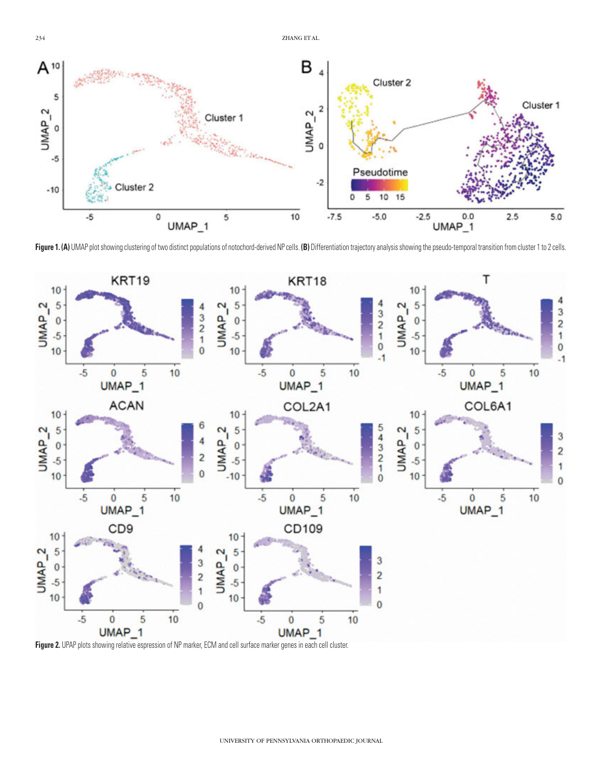

Figure 1. (A) UMAP plot showing clustering of two distinct populations of notochord-derived NP cells. (B) Differentiation trajectory analysis showing the pseudo-temporal transition from cluster 1 to 2 cells.